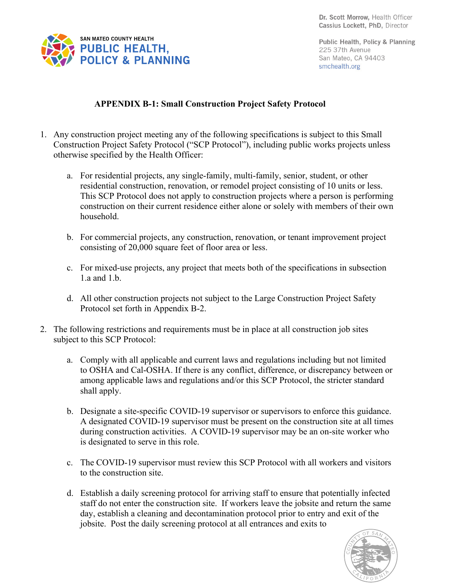

Public Health, Policy & Planning 225 37th Avenue San Mateo, CA 94403 smchealth.org

## **APPENDIX B-1: Small Construction Project Safety Protocol**

- 1. Any construction project meeting any of the following specifications is subject to this Small Construction Project Safety Protocol ("SCP Protocol"), including public works projects unless otherwise specified by the Health Officer:
	- a. For residential projects, any single-family, multi-family, senior, student, or other residential construction, renovation, or remodel project consisting of 10 units or less. This SCP Protocol does not apply to construction projects where a person is performing construction on their current residence either alone or solely with members of their own household.
	- b. For commercial projects, any construction, renovation, or tenant improvement project consisting of 20,000 square feet of floor area or less.
	- c. For mixed-use projects, any project that meets both of the specifications in subsection 1.a and 1.b.
	- d. All other construction projects not subject to the Large Construction Project Safety Protocol set forth in Appendix B-2.
- 2. The following restrictions and requirements must be in place at all construction job sites subject to this SCP Protocol:
	- a. Comply with all applicable and current laws and regulations including but not limited to OSHA and Cal-OSHA. If there is any conflict, difference, or discrepancy between or among applicable laws and regulations and/or this SCP Protocol, the stricter standard shall apply.
	- b. Designate a site-specific COVID-19 supervisor or supervisors to enforce this guidance. A designated COVID-19 supervisor must be present on the construction site at all times during construction activities. A COVID-19 supervisor may be an on-site worker who is designated to serve in this role.
	- c. The COVID-19 supervisor must review this SCP Protocol with all workers and visitors to the construction site.
	- d. Establish a daily screening protocol for arriving staff to ensure that potentially infected staff do not enter the construction site. If workers leave the jobsite and return the same day, establish a cleaning and decontamination protocol prior to entry and exit of the jobsite. Post the daily screening protocol at all entrances and exits to

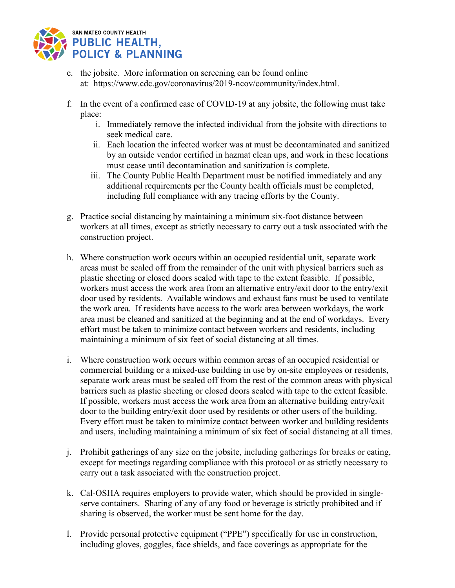

- e. the jobsite. More information on screening can be found online at: [https://www.cdc.gov/coronavirus/2019-ncov/community/index.html.](https://www.cdc.gov/coronavirus/2019-ncov/community/index.html)
- f. In the event of a confirmed case of COVID-19 at any jobsite, the following must take place:
	- i. Immediately remove the infected individual from the jobsite with directions to seek medical care.
	- ii. Each location the infected worker was at must be decontaminated and sanitized by an outside vendor certified in hazmat clean ups, and work in these locations must cease until decontamination and sanitization is complete.
	- iii. The County Public Health Department must be notified immediately and any additional requirements per the County health officials must be completed, including full compliance with any tracing efforts by the County.
- g. Practice social distancing by maintaining a minimum six-foot distance between workers at all times, except as strictly necessary to carry out a task associated with the construction project.
- h. Where construction work occurs within an occupied residential unit, separate work areas must be sealed off from the remainder of the unit with physical barriers such as plastic sheeting or closed doors sealed with tape to the extent feasible. If possible, workers must access the work area from an alternative entry/exit door to the entry/exit door used by residents. Available windows and exhaust fans must be used to ventilate the work area. If residents have access to the work area between workdays, the work area must be cleaned and sanitized at the beginning and at the end of workdays. Every effort must be taken to minimize contact between workers and residents, including maintaining a minimum of six feet of social distancing at all times.
- i. Where construction work occurs within common areas of an occupied residential or commercial building or a mixed-use building in use by on-site employees or residents, separate work areas must be sealed off from the rest of the common areas with physical barriers such as plastic sheeting or closed doors sealed with tape to the extent feasible. If possible, workers must access the work area from an alternative building entry/exit door to the building entry/exit door used by residents or other users of the building. Every effort must be taken to minimize contact between worker and building residents and users, including maintaining a minimum of six feet of social distancing at all times.
- j. Prohibit gatherings of any size on the jobsite, including gatherings for breaks or eating, except for meetings regarding compliance with this protocol or as strictly necessary to carry out a task associated with the construction project.
- k. Cal-OSHA requires employers to provide water, which should be provided in singleserve containers. Sharing of any of any food or beverage is strictly prohibited and if sharing is observed, the worker must be sent home for the day.
- l. Provide personal protective equipment ("PPE") specifically for use in construction, including gloves, goggles, face shields, and face coverings as appropriate for the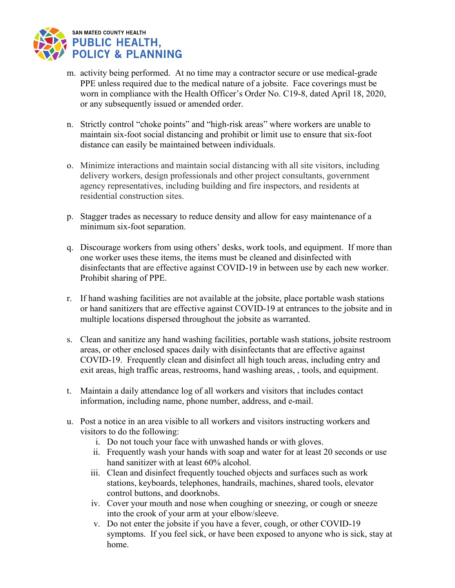

- m. activity being performed. At no time may a contractor secure or use medical-grade PPE unless required due to the medical nature of a jobsite. Face coverings must be worn in compliance with the Health Officer's Order No. C19-8, dated April 18, 2020, or any subsequently issued or amended order.
- n. Strictly control "choke points" and "high-risk areas" where workers are unable to maintain six-foot social distancing and prohibit or limit use to ensure that six-foot distance can easily be maintained between individuals.
- o. Minimize interactions and maintain social distancing with all site visitors, including delivery workers, design professionals and other project consultants, government agency representatives, including building and fire inspectors, and residents at residential construction sites.
- p. Stagger trades as necessary to reduce density and allow for easy maintenance of a minimum six-foot separation.
- q. Discourage workers from using others' desks, work tools, and equipment. If more than one worker uses these items, the items must be cleaned and disinfected with disinfectants that are effective against COVID-19 in between use by each new worker. Prohibit sharing of PPE.
- r. If hand washing facilities are not available at the jobsite, place portable wash stations or hand sanitizers that are effective against COVID-19 at entrances to the jobsite and in multiple locations dispersed throughout the jobsite as warranted.
- s. Clean and sanitize any hand washing facilities, portable wash stations, jobsite restroom areas, or other enclosed spaces daily with disinfectants that are effective against COVID-19. Frequently clean and disinfect all high touch areas, including entry and exit areas, high traffic areas, restrooms, hand washing areas, , tools, and equipment.
- t. Maintain a daily attendance log of all workers and visitors that includes contact information, including name, phone number, address, and e-mail.
- u. Post a notice in an area visible to all workers and visitors instructing workers and visitors to do the following:
	- i. Do not touch your face with unwashed hands or with gloves.
	- ii. Frequently wash your hands with soap and water for at least 20 seconds or use hand sanitizer with at least 60% alcohol.
	- iii. Clean and disinfect frequently touched objects and surfaces such as work stations, keyboards, telephones, handrails, machines, shared tools, elevator control buttons, and doorknobs.
	- iv. Cover your mouth and nose when coughing or sneezing, or cough or sneeze into the crook of your arm at your elbow/sleeve.
	- v. Do not enter the jobsite if you have a fever, cough, or other COVID-19 symptoms. If you feel sick, or have been exposed to anyone who is sick, stay at home.